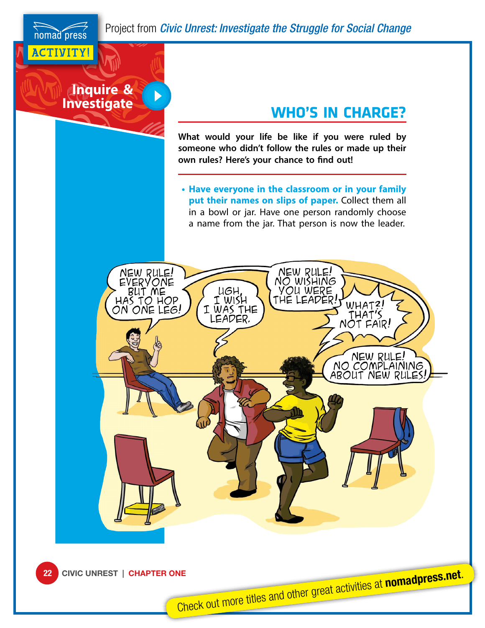**Inquire & Investigate**

 $\blacktriangleright$ 

ACTIVITY!

nomad press

## **WHO'S IN CHARGE?**

**What would your life be like if you were ruled by someone who didn't follow the rules or made up their own rules? Here's your chance to find out!**

**• Have everyone in the classroom or in your family put their names on slips of paper.** Collect them all in a bowl or jar. Have one person randomly choose a name from the jar. That person is now the leader.